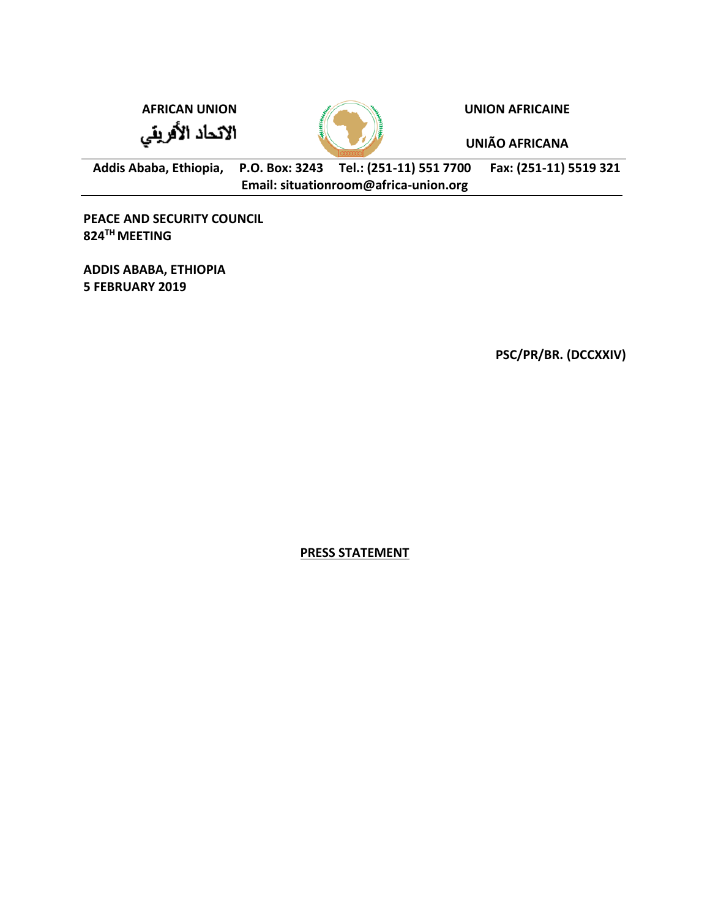الاتحاد الأفريقي



**AFRICAN UNION UNION AFRICAINE**

**UNIÃO AFRICANA**

**Addis Ababa, Ethiopia, P.O. Box: 3243 Tel.: (251-11) 551 7700 Fax: (251-11) 5519 321 Email: situationroom@africa-union.org**

**PEACE AND SECURITY COUNCIL 824TH MEETING** 

**ADDIS ABABA, ETHIOPIA 5 FEBRUARY 2019**

**PSC/PR/BR. (DCCXXIV)** 

**PRESS STATEMENT**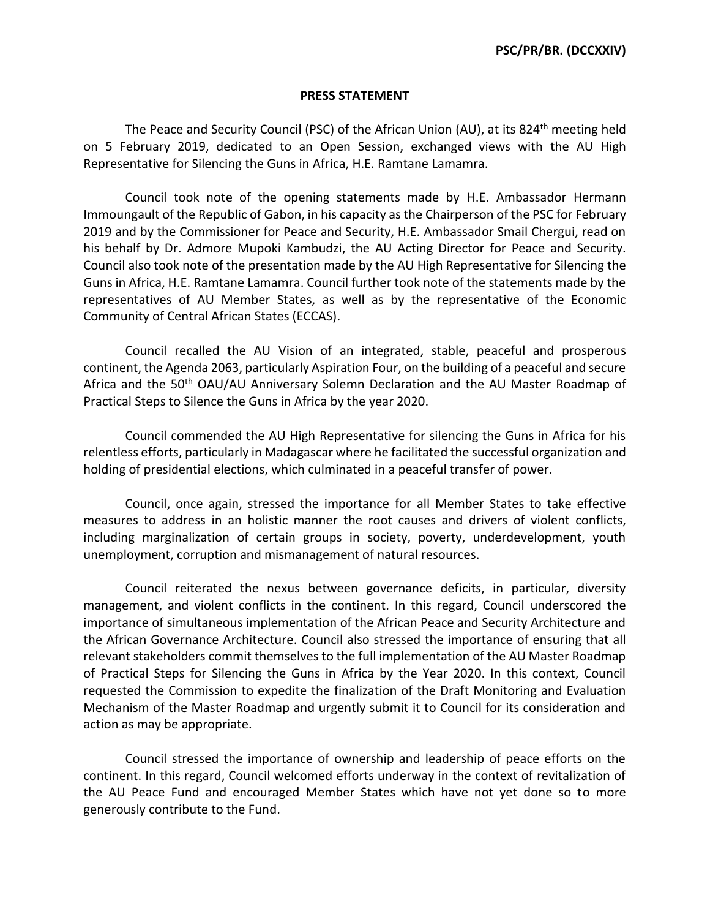## **PRESS STATEMENT**

The Peace and Security Council (PSC) of the African Union (AU), at its  $824<sup>th</sup>$  meeting held on 5 February 2019, dedicated to an Open Session, exchanged views with the AU High Representative for Silencing the Guns in Africa, H.E. Ramtane Lamamra.

Council took note of the opening statements made by H.E. Ambassador Hermann Immoungault of the Republic of Gabon, in his capacity as the Chairperson of the PSC for February 2019 and by the Commissioner for Peace and Security, H.E. Ambassador Smail Chergui, read on his behalf by Dr. Admore Mupoki Kambudzi, the AU Acting Director for Peace and Security. Council also took note of the presentation made by the AU High Representative for Silencing the Guns in Africa, H.E. Ramtane Lamamra. Council further took note of the statements made by the representatives of AU Member States, as well as by the representative of the Economic Community of Central African States (ECCAS).

Council recalled the AU Vision of an integrated, stable, peaceful and prosperous continent, the Agenda 2063, particularly Aspiration Four, on the building of a peaceful and secure Africa and the 50<sup>th</sup> OAU/AU Anniversary Solemn Declaration and the AU Master Roadmap of Practical Steps to Silence the Guns in Africa by the year 2020.

Council commended the AU High Representative for silencing the Guns in Africa for his relentless efforts, particularly in Madagascar where he facilitated the successful organization and holding of presidential elections, which culminated in a peaceful transfer of power.

Council, once again, stressed the importance for all Member States to take effective measures to address in an holistic manner the root causes and drivers of violent conflicts, including marginalization of certain groups in society, poverty, underdevelopment, youth unemployment, corruption and mismanagement of natural resources.

Council reiterated the nexus between governance deficits, in particular, diversity management, and violent conflicts in the continent. In this regard, Council underscored the importance of simultaneous implementation of the African Peace and Security Architecture and the African Governance Architecture. Council also stressed the importance of ensuring that all relevant stakeholders commit themselves to the full implementation of the AU Master Roadmap of Practical Steps for Silencing the Guns in Africa by the Year 2020. In this context, Council requested the Commission to expedite the finalization of the Draft Monitoring and Evaluation Mechanism of the Master Roadmap and urgently submit it to Council for its consideration and action as may be appropriate.

Council stressed the importance of ownership and leadership of peace efforts on the continent. In this regard, Council welcomed efforts underway in the context of revitalization of the AU Peace Fund and encouraged Member States which have not yet done so to more generously contribute to the Fund.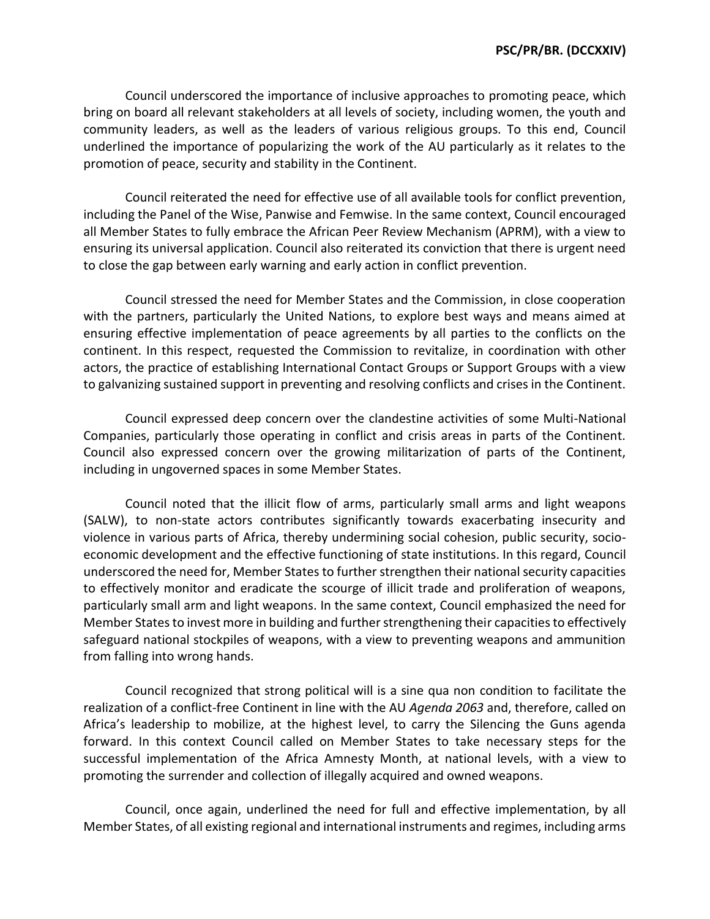Council underscored the importance of inclusive approaches to promoting peace, which bring on board all relevant stakeholders at all levels of society, including women, the youth and community leaders, as well as the leaders of various religious groups. To this end, Council underlined the importance of popularizing the work of the AU particularly as it relates to the promotion of peace, security and stability in the Continent.

Council reiterated the need for effective use of all available tools for conflict prevention, including the Panel of the Wise, Panwise and Femwise. In the same context, Council encouraged all Member States to fully embrace the African Peer Review Mechanism (APRM), with a view to ensuring its universal application. Council also reiterated its conviction that there is urgent need to close the gap between early warning and early action in conflict prevention.

Council stressed the need for Member States and the Commission, in close cooperation with the partners, particularly the United Nations, to explore best ways and means aimed at ensuring effective implementation of peace agreements by all parties to the conflicts on the continent. In this respect, requested the Commission to revitalize, in coordination with other actors, the practice of establishing International Contact Groups or Support Groups with a view to galvanizing sustained support in preventing and resolving conflicts and crises in the Continent.

Council expressed deep concern over the clandestine activities of some Multi-National Companies, particularly those operating in conflict and crisis areas in parts of the Continent. Council also expressed concern over the growing militarization of parts of the Continent, including in ungoverned spaces in some Member States.

Council noted that the illicit flow of arms, particularly small arms and light weapons (SALW), to non-state actors contributes significantly towards exacerbating insecurity and violence in various parts of Africa, thereby undermining social cohesion, public security, socioeconomic development and the effective functioning of state institutions. In this regard, Council underscored the need for, Member States to further strengthen their national security capacities to effectively monitor and eradicate the scourge of illicit trade and proliferation of weapons, particularly small arm and light weapons. In the same context, Council emphasized the need for Member States to invest more in building and further strengthening their capacities to effectively safeguard national stockpiles of weapons, with a view to preventing weapons and ammunition from falling into wrong hands.

Council recognized that strong political will is a sine qua non condition to facilitate the realization of a conflict-free Continent in line with the AU *Agenda 2063* and, therefore, called on Africa's leadership to mobilize, at the highest level, to carry the Silencing the Guns agenda forward. In this context Council called on Member States to take necessary steps for the successful implementation of the Africa Amnesty Month, at national levels, with a view to promoting the surrender and collection of illegally acquired and owned weapons.

Council, once again, underlined the need for full and effective implementation, by all Member States, of all existing regional and international instruments and regimes, including arms